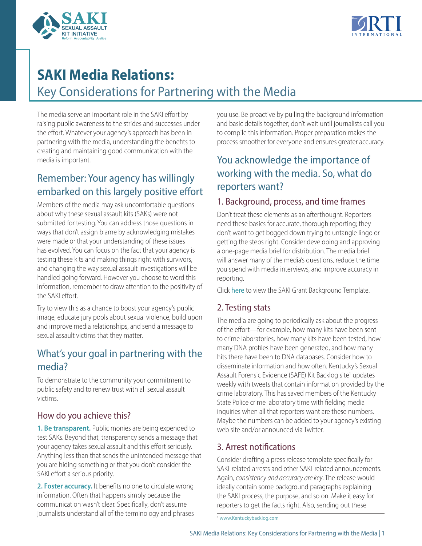



# **SAKI Media Relations:**

Key Considerations for Partnering with the Media

The media serve an important role in the SAKI effort by raising public awareness to the strides and successes under the effort. Whatever your agency's approach has been in partnering with the media, understanding the benefits to creating and maintaining good communication with the media is important.

# Remember: Your agency has willingly embarked on this largely positive effort

Members of the media may ask uncomfortable questions about why these sexual assault kits (SAKs) were not submitted for testing. You can address those questions in ways that don't assign blame by acknowledging mistakes were made or that your understanding of these issues has evolved. You can focus on the fact that your agency is testing these kits and making things right with survivors, and changing the way sexual assault investigations will be handled going forward. However you choose to word this information, remember to draw attention to the positivity of the SAKI effort.

Try to view this as a chance to boost your agency's public image, educate jury pools about sexual violence, build upon and improve media relationships, and send a message to sexual assault victims that they matter.

# What's your goal in partnering with the media?

To demonstrate to the community your commitment to public safety and to renew trust with all sexual assault victims.

### How do you achieve this?

**1. Be transparent.** Public monies are being expended to test SAKs. Beyond that, transparency sends a message that your agency takes sexual assault and this effort seriously. Anything less than that sends the unintended message that you are hiding something or that you don't consider the SAKI effort a serious priority.

**2. Foster accuracy.** It benefits no one to circulate wrong information. Often that happens simply because the communication wasn't clear. Specifically, don't assume journalists understand all of the terminology and phrases you use. Be proactive by pulling the background information and basic details together; don't wait until journalists call you to compile this information. Proper preparation makes the process smoother for everyone and ensures greater accuracy.

# You acknowledge the importance of working with the media. So, what do reporters want?

#### 1. Background, process, and time frames

Don't treat these elements as an afterthought. Reporters need these basics for accurate, thorough reporting; they don't want to get bogged down trying to untangle lingo or getting the steps right. Consider developing and approving a one-page media brief for distribution. The media brief will answer many of the media's questions, reduce the time you spend with media interviews, and improve accuracy in reporting.

Click [here](https://sakitta.org/resources/docs/SAKI_Background_Template_v4_final.pdf) to view the SAKI Grant Background Template.

### 2. Testing stats

The media are going to periodically ask about the progress of the effort—for example, how many kits have been sent to crime laboratories, how many kits have been tested, how many DNA profiles have been generated, and how many hits there have been to DNA databases. Consider how to disseminate information and how often. Kentucky's Sexual Assault Forensic Evidence (SAFE) Kit Backlog site<sup>1</sup> updates weekly with tweets that contain information provided by the crime laboratory. This has saved members of the Kentucky State Police crime laboratory time with fielding media inquiries when all that reporters want are these numbers. Maybe the numbers can be added to your agency's existing web site and/or announced via Twitter.

#### 3. Arrest notifications

Consider drafting a press release template specifically for SAKI-related arrests and other SAKI-related announcements. Again, *consistency and accuracy are key*. The release would ideally contain some background paragraphs explaining the SAKI process, the purpose, and so on. Make it easy for reporters to get the facts right. Also, sending out these

<sup>1</sup> [www.Kentuckybacklog.com](http://www.Kentuckybacklog.com)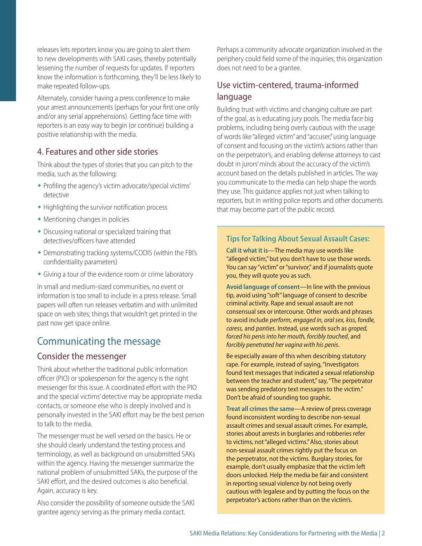releases lets reporters know you are going to alert them to new developments with SAKI cases, thereby potentially lessening the number of requests for updates. If reporters know the information is forthcoming, they'll be less likely to make repeated follow-ups.

Alternately, consider having a press conference to make your arrest announcements (perhaps for your first one only and/or any serial apprehensions). Getting face time with reporters is an easy way to begin (or continue) building a positive relationship with the media.

#### 4. Features and other side stories

Think about the types of stories that you can pitch to the media, such as the following:

- Profiling the agency's victim advocate/special victims' detective
- $\bullet$  Highlighting the survivor notification process
- $\bullet$  Mentioning changes in policies
- $\bullet$  Discussing national or specialized training that detectives/officers have attended
- $\bullet$  Demonstrating tracking systems/CODIS (within the FBI's confidentiality parameters)
- Giving a tour of the evidence room or crime laboratory

In small and medium-sized communities, no event or information is too small to include in a press release. Small papers will often run releases verbatim and with unlimited space on web sites; things that wouldn't get printed in the past now get space online.

### Communicating the message

#### Consider the messenger

Think about whether the traditional public information officer (PIO) or spokesperson for the agency is the right messenger for this issue. A coordinated effort with the PIO and the special victims' detective may be appropriate media contacts, or someone else who is deeply involved and is personally invested in the SAKI effort may be the best person to talk to the media.

The messenger must be well versed on the basics. He or she should clearly understand the testing process and terminology, as well as background on unsubmitted SAKs within the agency. Having the messenger summarize the national problem of unsubmitted SAKs, the purpose of the SAKI effort, and the desired outcomes is also beneficial. Again, accuracy is key.

Also consider the possibility of someone outside the SAKI grantee agency serving as the primary media contact.

Perhaps a community advocate organization involved in the periphery could field some of the inquiries; this organization does not need to be a grantee.

#### Use victim-centered, trauma-informed language

Building trust with victims and changing culture are part of the goal, as is educating jury pools. The media face big problems, including being overly cautious with the usage of words like "alleged victim" and "accuser," using language of consent and focusing on the victim's actions rather than on the perpetrator's, and enabling defense attorneys to cast doubt in jurors' minds about the accuracy of the victim's account based on the details published in articles. The way you communicate to the media can help shape the words they use. This guidance applies not just when talking to reporters, but in writing police reports and other documents that may become part of the public record.

#### **Tips for Talking About Sexual Assault Cases:**

**Call it what it is**—The media may use words like "alleged victim," but you don't have to use those words. You can say "victim" or "survivor," and if journalists quote you, they will quote you as such.

**Avoid language of consent**—In line with the previous tip, avoid using "soft" language of consent to describe criminal activity. Rape and sexual assault are not consensual sex or intercourse. Other words and phrases to avoid include *perform, engaged in, oral sex, kiss, fondle, caress,* and *panties*. Instead, use words such as *groped, forced his penis into her mouth, forcibly touched*, and *forcibly penetrated her vagina with his penis*.

Be especially aware of this when describing statutory rape. For example, instead of saying, "Investigators found text messages that indicated a sexual relationship between the teacher and student," say, "The perpetrator was sending predatory text messages to the victim." Don't be afraid of sounding too graphic.

**Treat all crimes the same**—A review of press coverage found inconsistent wording to describe non-sexual assault crimes and sexual assault crimes. For example, stories about arrests in burglaries and robberies refer to victims, not "alleged victims." Also, stories about non-sexual assault crimes rightly put the focus on the perpetrator, not the victims. Burglary stories, for example, don't usually emphasize that the victim left doors unlocked. Help the media be fair and consistent in reporting sexual violence by not being overly cautious with legalese and by putting the focus on the perpetrator's actions rather than on the victim's.